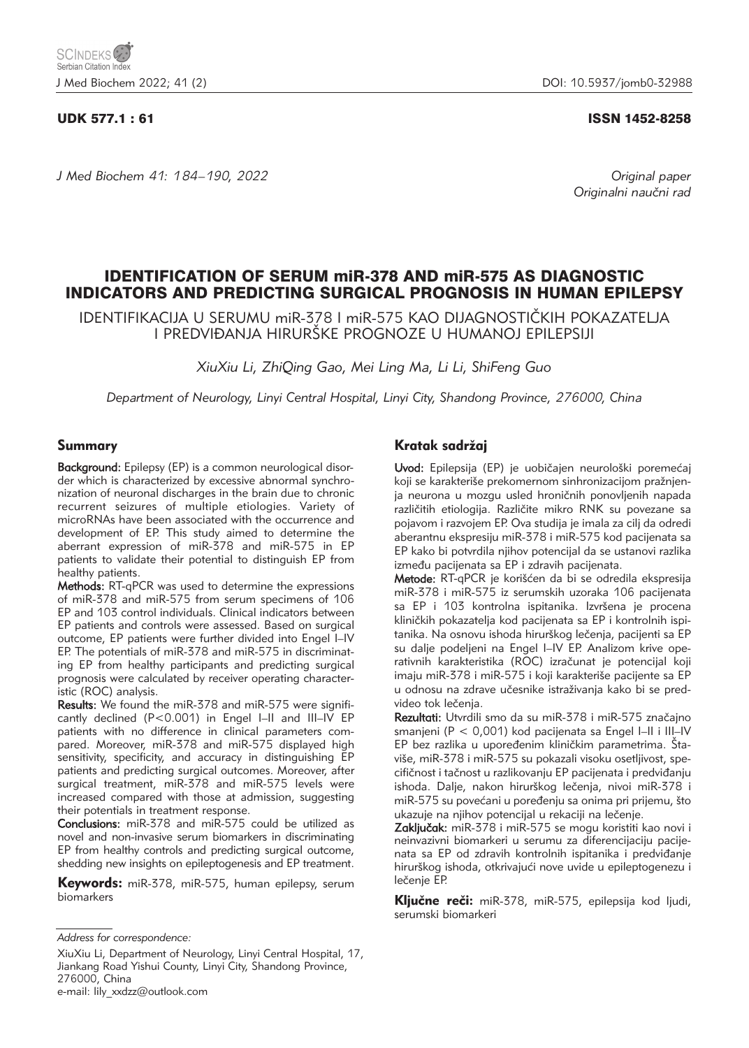*J Med Biochem 41: 184–190, 2022 Original paper*

## UDK 577.1 : 61 ISSN 1452-8258

Originalni naučni rad

# IDENTIFICATION OF SERUM miR-378 AND miR-575 AS DIAGNOSTIC INDICATORS AND PREDICTING SURGICAL PROGNOSIS IN HUMAN EPILEPSY

IDENTIFIKACIJA U SERUMU miR-378 I miR-575 KAO DIJAGNOSTI^KIH POKAZATELJA I PREDVIĐANJA HIRURŠKE PROGNOZE U HUMANOJ EPILEPSIJI

*XiuXiu Li, ZhiQing Gao, Mei Ling Ma, Li Li, ShiFeng Guo*

*Department of Neurology, Linyi Central Hospital, Linyi City, Shandong Province, 276000, China*

## Summary

Background: Epilepsy (EP) is a common neurological disorder which is characterized by excessive abnormal synchronization of neuronal discharges in the brain due to chronic recurrent seizures of multiple etiologies. Variety of microRNAs have been associated with the occurrence and development of EP. This study aimed to determine the aberrant expression of miR-378 and miR-575 in EP patients to validate their potential to distinguish EP from healthy patients.

Methods: RT-qPCR was used to determine the expressions of miR-378 and miR-575 from serum specimens of 106 EP and 103 control individuals. Clinical indicators between EP patients and controls were assessed. Based on surgical outcome, EP patients were further divided into Engel I–IV EP. The potentials of miR-378 and miR-575 in discriminating EP from healthy participants and predicting surgical prognosis were calculated by receiver operating characteristic (ROC) analysis.

Results: We found the miR-378 and miR-575 were significantly declined (P<0.001) in Engel I–II and III–IV EP patients with no difference in clinical parameters compared. Moreover, miR-378 and miR-575 displayed high sensitivity, specificity, and accuracy in distinguishing EP patients and predicting surgical outcomes. Moreover, after surgical treatment, miR-378 and miR-575 levels were increased compared with those at admission, suggesting their potentials in treatment response.

Conclusions: miR-378 and miR-575 could be utilized as novel and non-invasive serum biomarkers in discriminating EP from healthy controls and predicting surgical outcome, shedding new insights on epileptogenesis and EP treatment.

Keywords: miR-378, miR-575, human epilepsy, serum biomarkers

XiuXiu Li, Department of Neurology, Linyi Central Hospital, 17, Jiankang Road Yishui County, Linyi City, Shandong Province, 276000, China

e-mail: lily\_xxdzz@outlook.com

## Kratak sadržaj

Uvod: Epilepsija (EP) je uobičajen neurološki poremećaj koji se karakteriše prekomernom sinhronizacijom pražnjenja neurona u mozgu usled hroničnih ponovljenih napada različitih etiologija. Različite mikro RNK su povezane sa pojavom i razvojem EP. Ova studija je imala za cilj da odredi aberantnu ekspresiju miR-378 i miR-575 kod pacijenata sa EP kako bi potvrdila njihov potencijal da se ustanovi razlika između pacijenata sa EP i zdravih pacijenata.

Metode: RT-qPCR je korišćen da bi se odredila ekspresija miR-378 i miR-575 iz serumskih uzoraka 106 pacijenata sa EP i 103 kontrolna ispitanika. Izvršena je procena kliničkih pokazatelja kod pacijenata sa EP i kontrolnih ispitanika. Na osnovu ishoda hirurškog lečenja, pacijenti sa EP su dalje podeljeni na Engel I-IV EP. Analizom krive operativnih karakteristika (ROC) izračunat je potencijal koji imaju miR-378 i miR-575 i koji karakteriše pacijente sa EP u odnosu na zdrave učesnike istraživanja kako bi se predvideo tok lečenia.

Rezultati: Utvrdili smo da su miR-378 i miR-575 značajno smanjeni (P < 0,001) kod pacijenata sa Engel I–II i III–IV EP bez razlika u upoređenim kliničkim parametrima. Štaviše, miR-378 i miR-575 su pokazali visoku osetljivost, specifičnost i tačnost u razlikovanju EP pacijenata i predviđanju ishoda. Dalje, nakon hirurškog lečenja, nivoi miR-378 i miR-575 su povećani u poređenju sa onima pri prijemu, što ukazuje na njihov potencijal u rekaciji na lečenje.

Zaključak: miR-378 i miR-575 se mogu koristiti kao novi i neinvazivni biomarkeri u serumu za diferencijaciju pacijenata sa EP od zdravih kontrolnih ispitanika i predviđanje hirurškog ishoda, otkrivajući nove uvide u epileptogenezu i lečenje EP.

Ključne reči: miR-378, miR-575, epilepsija kod ljudi, serumski biomarkeri

*Address for correspondence:*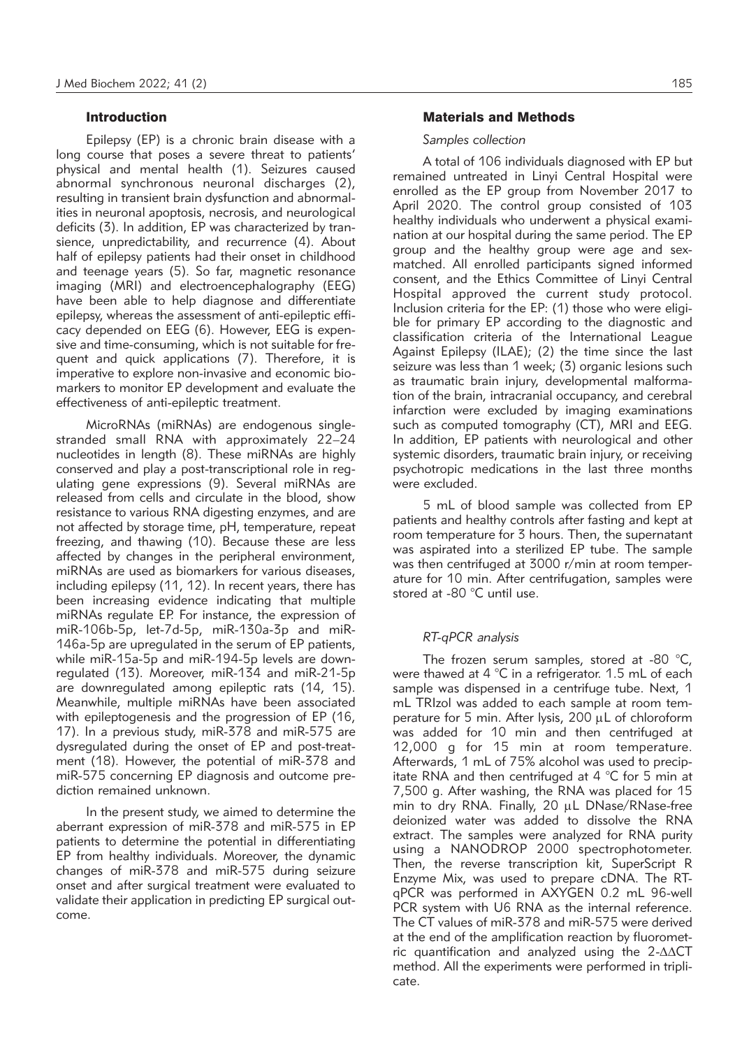## Introduction

Epilepsy (EP) is a chronic brain disease with a long course that poses a severe threat to patients' physical and mental health (1). Seizures caused abnormal synchronous neuronal discharges (2), resulting in transient brain dysfunction and abnormalities in neuronal apoptosis, necrosis, and neurological deficits (3). In addition, EP was characterized by transience, unpredictability, and recurrence (4). About half of epilepsy patients had their onset in childhood and teenage years (5). So far, magnetic resonance imaging (MRI) and electroencephalography (EEG) have been able to help diagnose and differentiate epilepsy, whereas the assessment of anti-epileptic efficacy depended on EEG (6). However, EEG is expensive and time-consuming, which is not suitable for frequent and quick applications (7). Therefore, it is imperative to explore non-invasive and economic biomarkers to monitor EP development and evaluate the effectiveness of anti-epileptic treatment.

MicroRNAs (miRNAs) are endogenous singlestranded small RNA with approximately 22–24 nucleotides in length (8). These miRNAs are highly conserved and play a post-transcriptional role in regulating gene expressions (9). Several miRNAs are released from cells and circulate in the blood, show resistance to various RNA digesting enzymes, and are not affected by storage time, pH, temperature, repeat freezing, and thawing (10). Because these are less affected by changes in the peripheral environment, miRNAs are used as biomarkers for various diseases, including epilepsy (11, 12). In recent years, there has been increasing evidence indicating that multiple miRNAs regulate EP. For instance, the expression of miR-106b-5p, let-7d-5p, miR-130a-3p and miR-146a-5p are upregulated in the serum of EP patients, while miR-15a-5p and miR-194-5p levels are downregulated (13). Moreover, miR-134 and miR-21-5p are downregulated among epileptic rats (14, 15). Meanwhile, multiple miRNAs have been associated with epileptogenesis and the progression of EP (16, 17). In a previous study, miR-378 and miR-575 are dysregulated during the onset of EP and post-treatment (18). However, the potential of miR-378 and miR-575 concerning EP diagnosis and outcome prediction remained unknown.

In the present study, we aimed to determine the aberrant expression of miR-378 and miR-575 in EP patients to determine the potential in differentiating EP from healthy individuals. Moreover, the dynamic changes of miR-378 and miR-575 during seizure onset and after surgical treatment were evaluated to validate their application in predicting EP surgical outcome.

## Materials and Methods

### *Samples collection*

A total of 106 individuals diagnosed with EP but remained untreated in Linyi Central Hospital were enrolled as the EP group from November 2017 to April 2020. The control group consisted of 103 healthy individuals who underwent a physical examination at our hospital during the same period. The EP group and the healthy group were age and sexmatched. All enrolled participants signed informed consent, and the Ethics Committee of Linyi Central Hospital approved the current study protocol. Inclusion criteria for the EP: (1) those who were eligible for primary EP according to the diagnostic and classification criteria of the International League Against Epilepsy (ILAE); (2) the time since the last seizure was less than 1 week; (3) organic lesions such as traumatic brain injury, developmental malformation of the brain, intracranial occupancy, and cerebral infarction were excluded by imaging examinations such as computed tomography (CT), MRI and EEG. In addition, EP patients with neurological and other systemic disorders, traumatic brain injury, or receiving psychotropic medications in the last three months were excluded.

5 mL of blood sample was collected from EP patients and healthy controls after fasting and kept at room temperature for 3 hours. Then, the supernatant was aspirated into a sterilized EP tube. The sample was then centrifuged at 3000 r/min at room temperature for 10 min. After centrifugation, samples were stored at -80 °C until use.

#### *RT-qPCR analysis*

The frozen serum samples, stored at -80 °C, were thawed at 4 °C in a refrigerator. 1.5 mL of each sample was dispensed in a centrifuge tube. Next, 1 mL TRIzol was added to each sample at room temperature for 5 min. After lysis,  $200 \mu L$  of chloroform was added for 10 min and then centrifuged at 12,000 g for 15 min at room temperature. Afterwards, 1 mL of 75% alcohol was used to precipitate RNA and then centrifuged at 4 °C for 5 min at 7,500 g. After washing, the RNA was placed for 15 min to dry RNA. Finally,  $20 \mu L$  DNase/RNase-free deionized water was added to dissolve the RNA extract. The samples were analyzed for RNA purity using a NANODROP 2000 spectrophotometer. Then, the reverse transcription kit, SuperScript R Enzyme Mix, was used to prepare cDNA. The RTqPCR was performed in AXYGEN 0.2 mL 96-well PCR system with U6 RNA as the internal reference. The CT values of miR-378 and miR-575 were derived at the end of the amplification reaction by fluorometric quantification and analyzed using the  $2-\Delta\Delta CT$ method. All the experiments were performed in triplicate.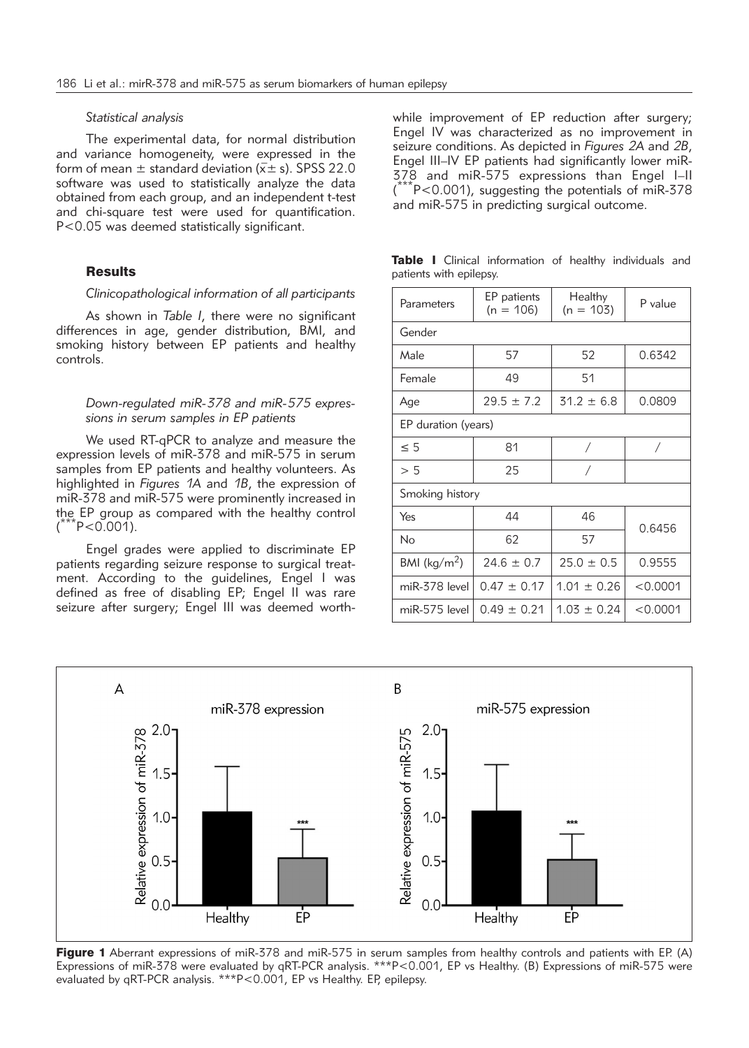### *Statistical analysis*

The experimental data, for normal distribution and variance homogeneity, were expressed in the form of mean  $\pm$  standard deviation ( $\overline{x} \pm$  s). SPSS 22.0 software was used to statistically analyze the data obtained from each group, and an independent t-test and chi-square test were used for quantification. P<0.05 was deemed statistically significant.

#### **Results**

#### *Clinicopathological information of all participants*

As shown in *Table I*, there were no significant differences in age, gender distribution, BMI, and smoking history between EP patients and healthy controls.

## *Down-regulated miR-378 and miR-575 expressions in serum samples in EP patients*

We used RT-qPCR to analyze and measure the expression levels of miR-378 and miR-575 in serum samples from EP patients and healthy volunteers. As highlighted in *Figures 1A* and *1B*, the expression of miR-378 and miR-575 were prominently increased in the EP group as compared with the healthy control  $\int_0^\infty$  $^{\circ}$ P<0.001).

Engel grades were applied to discriminate EP patients regarding seizure response to surgical treatment. According to the guidelines, Engel I was defined as free of disabling EP; Engel II was rare seizure after surgery; Engel III was deemed worthwhile improvement of EP reduction after surgery; Engel IV was characterized as no improvement in seizure conditions. As depicted in *Figures 2A* and *2B*, Engel III–IV EP patients had significantly lower miR-378 and miR-575 expressions than Engel I–II (  $k$ <sup>-</sup>P<0.001), suggesting the potentials of miR-378 and miR-575 in predicting surgical outcome.

|  |                         | Table I Clinical information of healthy individuals and |  |  |
|--|-------------------------|---------------------------------------------------------|--|--|
|  | patients with epilepsy. |                                                         |  |  |

| Parameters              | EP patients<br>$(n = 106)$ | Healthy<br>$(n = 103)$ | P value    |  |  |  |  |  |  |
|-------------------------|----------------------------|------------------------|------------|--|--|--|--|--|--|
| Gender                  |                            |                        |            |  |  |  |  |  |  |
| Male                    | 57                         | 52                     | 0.6342     |  |  |  |  |  |  |
| Female                  | 49                         | 51                     |            |  |  |  |  |  |  |
| Age                     | $29.5 \pm 7.2$             | $31.2 \pm 6.8$         | 0.0809     |  |  |  |  |  |  |
| EP duration (years)     |                            |                        |            |  |  |  |  |  |  |
| $\leq 5$                | 81                         | $\sqrt{2}$             | $\sqrt{2}$ |  |  |  |  |  |  |
| > 5                     | 25                         |                        |            |  |  |  |  |  |  |
| Smoking history         |                            |                        |            |  |  |  |  |  |  |
| Yes                     | 44                         | 46                     | 0.6456     |  |  |  |  |  |  |
| No                      | 62                         | 57                     |            |  |  |  |  |  |  |
| BMI ( $\text{kg/m}^2$ ) | $24.6 \pm 0.7$             | $25.0 \pm 0.5$         | 0.9555     |  |  |  |  |  |  |
| miR-378 level           | $0.47 \pm 0.17$            | $1.01 \pm 0.26$        | < 0.0001   |  |  |  |  |  |  |
| miR-575 level           | $0.49 \pm 0.21$            | $1.03 \pm 0.24$        | < 0.0001   |  |  |  |  |  |  |



Figure 1 Aberrant expressions of miR-378 and miR-575 in serum samples from healthy controls and patients with EP. (A) Expressions of miR-378 were evaluated by qRT-PCR analysis. \*\*\*P<0.001, EP vs Healthy. (B) Expressions of miR-575 were evaluated by qRT-PCR analysis. \*\*\*P<0.001, EP vs Healthy. EP, epilepsy.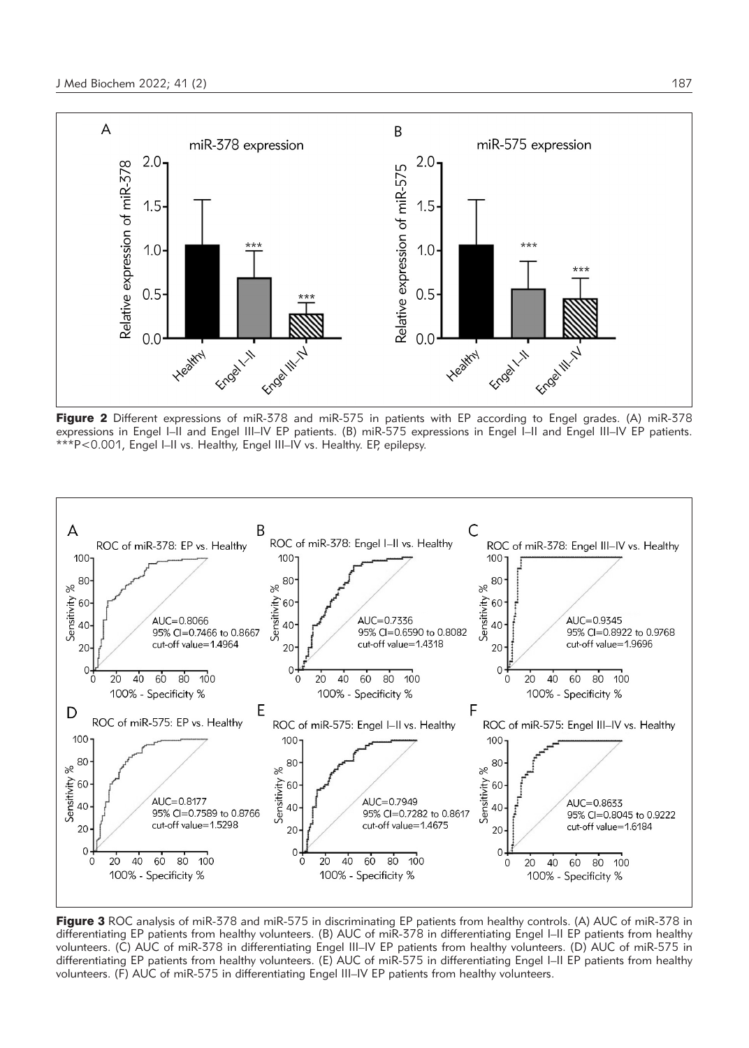

Figure 2 Different expressions of miR-378 and miR-575 in patients with EP according to Engel grades. (A) miR-378 expressions in Engel I–II and Engel III–IV EP patients. (B) miR-575 expressions in Engel I–II and Engel III–IV EP patients. \*\*\*P<0.001, Engel I–II vs. Healthy, Engel III–IV vs. Healthy. EP, epilepsy.



Figure 3 ROC analysis of miR-378 and miR-575 in discriminating EP patients from healthy controls. (A) AUC of miR-378 in differentiating EP patients from healthy volunteers. (B) AUC of miR-378 in differentiating Engel I–II EP patients from healthy volunteers. (C) AUC of miR-378 in differentiating Engel III–IV EP patients from healthy volunteers. (D) AUC of miR-575 in differentiating EP patients from healthy volunteers. (E) AUC of miR-575 in differentiating Engel I–II EP patients from healthy volunteers. (F) AUC of miR-575 in differentiating Engel III–IV EP patients from healthy volunteers.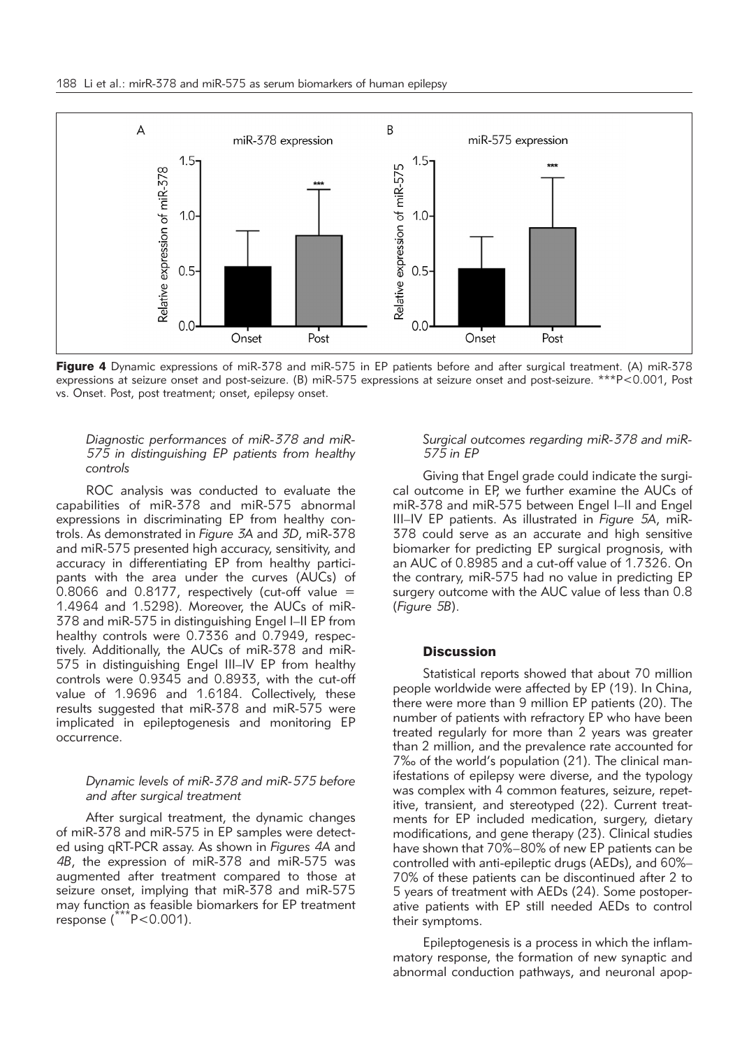

Figure 4 Dynamic expressions of miR-378 and miR-575 in EP patients before and after surgical treatment. (A) miR-378 expressions at seizure onset and post-seizure. (B) miR-575 expressions at seizure onset and post-seizure. \*\*\*P<0.001, Post vs. Onset. Post, post treatment; onset, epilepsy onset.

## *Diagnostic performances of miR-378 and miR-575 in distinguishing EP patients from healthy controls*

ROC analysis was conducted to evaluate the capabilities of miR-378 and miR-575 abnormal expressions in discriminating EP from healthy controls. As demonstrated in *Figure 3A* and *3D*, miR-378 and miR-575 presented high accuracy, sensitivity, and accuracy in differentiating EP from healthy participants with the area under the curves (AUCs) of 0.8066 and 0.8177, respectively (cut-off value = 1.4964 and 1.5298). Moreover, the AUCs of miR-378 and miR-575 in distinguishing Engel I–II EP from healthy controls were 0.7336 and 0.7949, respectively. Additionally, the AUCs of miR-378 and miR-575 in distinguishing Engel III–IV EP from healthy controls were 0.9345 and 0.8933, with the cut-off value of 1.9696 and 1.6184. Collectively, these results suggested that miR-378 and miR-575 were implicated in epileptogenesis and monitoring EP occurrence.

## *Dynamic levels of miR-378 and miR-575 before and after surgical treatment*

After surgical treatment, the dynamic changes of miR-378 and miR-575 in EP samples were detected using qRT-PCR assay. As shown in *Figures 4A* and *4B*, the expression of miR-378 and miR-575 was augmented after treatment compared to those at seizure onset, implying that miR-378 and miR-575 may function as feasible biomarkers for EP treatment response (\*\*\*P<0.001).

## *Surgical outcomes regarding miR-378 and miR-575 in EP*

Giving that Engel grade could indicate the surgical outcome in EP, we further examine the AUCs of miR-378 and miR-575 between Engel I–II and Engel III–IV EP patients. As illustrated in *Figure 5A*, miR-378 could serve as an accurate and high sensitive biomarker for predicting EP surgical prognosis, with an AUC of 0.8985 and a cut-off value of 1.7326. On the contrary, miR-575 had no value in predicting EP surgery outcome with the AUC value of less than 0.8 (*Figure 5B*).

#### **Discussion**

Statistical reports showed that about 70 million people worldwide were affected by EP (19). In China, there were more than 9 million EP patients (20). The number of patients with refractory EP who have been treated regularly for more than 2 years was greater than 2 million, and the prevalence rate accounted for 7‰ of the world's population (21). The clinical manifestations of epilepsy were diverse, and the typology was complex with 4 common features, seizure, repetitive, transient, and stereotyped (22). Current treatments for EP included medication, surgery, dietary modifications, and gene therapy (23). Clinical studies have shown that 70%–80% of new EP patients can be controlled with anti-epileptic drugs (AEDs), and 60%– 70% of these patients can be discontinued after 2 to 5 years of treatment with AEDs (24). Some postoperative patients with EP still needed AEDs to control their symptoms.

Epileptogenesis is a process in which the inflammatory response, the formation of new synaptic and abnormal conduction pathways, and neuronal apop-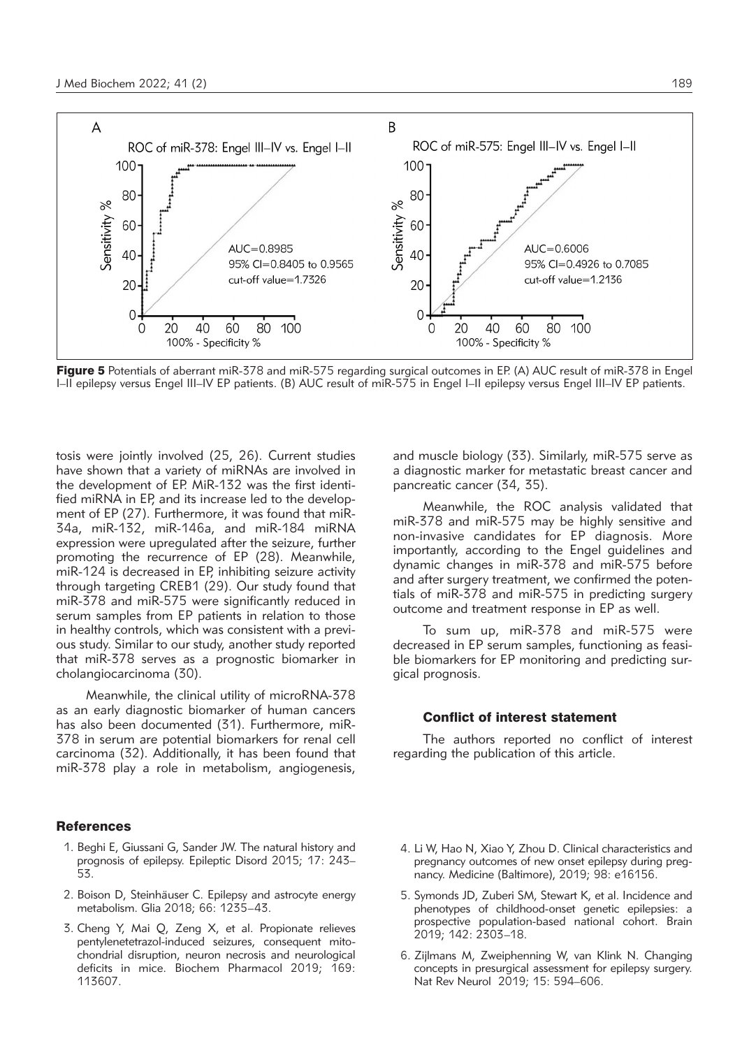

Figure 5 Potentials of aberrant miR-378 and miR-575 regarding surgical outcomes in EP. (A) AUC result of miR-378 in Engel I–II epilepsy versus Engel III–IV EP patients. (B) AUC result of miR-575 in Engel I–II epilepsy versus Engel III–IV EP patients.

tosis were jointly involved (25, 26). Current studies have shown that a variety of miRNAs are involved in the development of EP. MiR-132 was the first identified miRNA in EP, and its increase led to the development of EP (27). Furthermore, it was found that miR-34a, miR-132, miR-146a, and miR-184 miRNA expression were upregulated after the seizure, further promoting the recurrence of EP (28). Meanwhile, miR-124 is decreased in EP, inhibiting seizure activity through targeting CREB1 (29). Our study found that miR-378 and miR-575 were significantly reduced in serum samples from EP patients in relation to those in healthy controls, which was consistent with a previous study. Similar to our study, another study reported that miR-378 serves as a prognostic biomarker in cholangiocarcinoma (30).

Meanwhile, the clinical utility of microRNA-378 as an early diagnostic biomarker of human cancers has also been documented (31). Furthermore, miR-378 in serum are potential biomarkers for renal cell carcinoma (32). Additionally, it has been found that miR-378 play a role in metabolism, angiogenesis,

#### References

- 1. Beghi E, Giussani G, Sander JW. The natural history and prognosis of epilepsy. Epileptic Disord 2015; 17: 243– 53.
- 2. Boison D, Steinhäuser C. Epilepsy and astrocyte energy metabolism. Glia 2018; 66: 1235–43.
- 3. Cheng Y, Mai Q, Zeng X, et al. Propionate relieves pentylenetetrazol-induced seizures, consequent mitochondrial disruption, neuron necrosis and neurological deficits in mice. Biochem Pharmacol 2019; 169: 113607.

and muscle biology (33). Similarly, miR-575 serve as a diagnostic marker for metastatic breast cancer and pancreatic cancer (34, 35).

Meanwhile, the ROC analysis validated that miR-378 and miR-575 may be highly sensitive and non-invasive candidates for EP diagnosis. More importantly, according to the Engel guidelines and dynamic changes in miR-378 and miR-575 before and after surgery treatment, we confirmed the potentials of miR-378 and miR-575 in predicting surgery outcome and treatment response in EP as well.

To sum up, miR-378 and miR-575 were decreased in EP serum samples, functioning as feasible biomarkers for EP monitoring and predicting surgical prognosis.

## Conflict of interest statement

The authors reported no conflict of interest regarding the publication of this article.

- 4. Li W, Hao N, Xiao Y, Zhou D. Clinical characteristics and pregnancy outcomes of new onset epilepsy during pregnancy. Medicine (Baltimore), 2019; 98: e16156.
- 5. Symonds JD, Zuberi SM, Stewart K, et al. Incidence and phenotypes of childhood-onset genetic epilepsies: a prospective population-based national cohort. Brain 2019; 142: 2303–18.
- 6. Zijlmans M, Zweiphenning W, van Klink N. Changing concepts in presurgical assessment for epilepsy surgery. Nat Rev Neurol 2019; 15: 594–606.